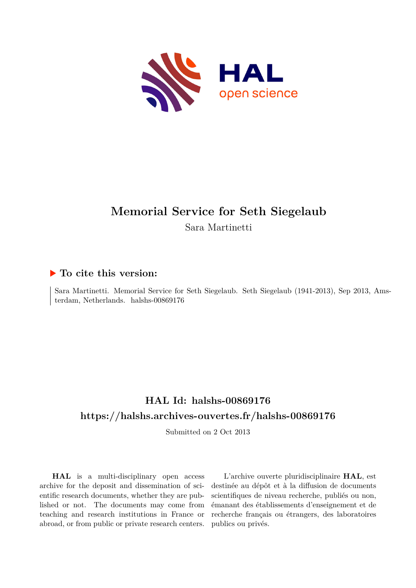

## **Memorial Service for Seth Siegelaub** Sara Martinetti

## **To cite this version:**

Sara Martinetti. Memorial Service for Seth Siegelaub. Seth Siegelaub (1941-2013), Sep 2013, Amsterdam, Netherlands. halshs- $00869176$ 

## **HAL Id: halshs-00869176 <https://halshs.archives-ouvertes.fr/halshs-00869176>**

Submitted on 2 Oct 2013

**HAL** is a multi-disciplinary open access archive for the deposit and dissemination of scientific research documents, whether they are published or not. The documents may come from teaching and research institutions in France or abroad, or from public or private research centers.

L'archive ouverte pluridisciplinaire **HAL**, est destinée au dépôt et à la diffusion de documents scientifiques de niveau recherche, publiés ou non, émanant des établissements d'enseignement et de recherche français ou étrangers, des laboratoires publics ou privés.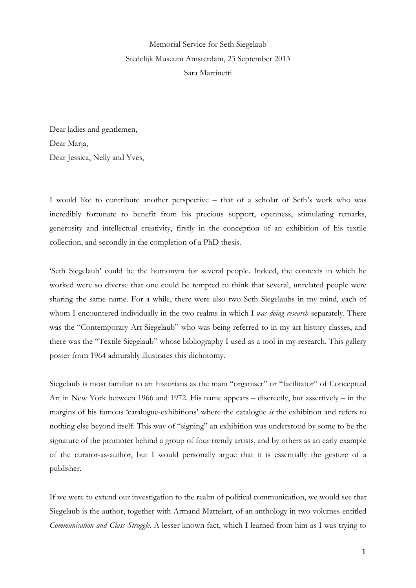Memorial Service for Seth Siegelaub Stedelijk Museum Amsterdam, 23 September 2013 Sara Martinetti

Dear ladies and gentlemen, Dear Marja, Dear Jessica, Nelly and Yves,

I would like to contribute another perspective – that of a scholar of Seth's work who was incredibly fortunate to benefit from his precious support, openness, stimulating remarks, generosity and intellectual creativity, firstly in the conception of an exhibition of his textile collection, and secondly in the completion of a PhD thesis.

'Seth Siegelaub' could be the homonym for several people. Indeed, the contexts in which he worked were so diverse that one could be tempted to think that several, unrelated people were sharing the same name. For a while, there were also two Seth Siegelaubs in my mind, each of whom I encountered individually in the two realms in which I *was doing research* separately. There was the "Contemporary Art Siegelaub" who was being referred to in my art history classes, and there was the "Textile Siegelaub" whose bibliography I used as a tool in my research. This gallery poster from 1964 admirably illustrates this dichotomy.

Siegelaub is most familiar to art historians as the main "organiser" or "facilitator" of Conceptual Art in New York between 1966 and 1972. His name appears – discreetly, but assertively – in the margins of his famous 'catalogue-exhibitions' where the catalogue *is* the exhibition and refers to nothing else beyond itself. This way of "signing" an exhibition was understood by some to be the signature of the promoter behind a group of four trendy artists, and by others as an early example of the curator-as-author, but I would personally argue that it is essentially the gesture of a publisher.

If we were to extend our investigation to the realm of political communication, we would see that Siegelaub is the author, together with Armand Mattelart, of an anthology in two volumes entitled *Communication and Class Struggle*. A lesser known fact, which I learned from him as I was trying to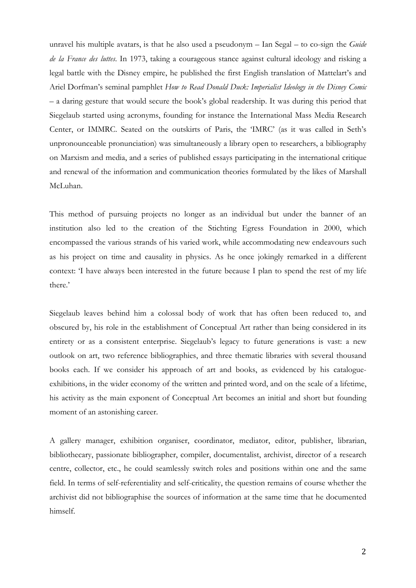unravel his multiple avatars, is that he also used a pseudonym – Ian Segal – to co-sign the *Guide de la France des luttes*. In 1973, taking a courageous stance against cultural ideology and risking a legal battle with the Disney empire, he published the first English translation of Mattelart's and Ariel Dorfman's seminal pamphlet *How to Read Donald Duck: Imperialist Ideology in the Disney Comic* – a daring gesture that would secure the book's global readership. It was during this period that Siegelaub started using acronyms, founding for instance the International Mass Media Research Center, or IMMRC. Seated on the outskirts of Paris, the 'IMRC' (as it was called in Seth's unpronounceable pronunciation) was simultaneously a library open to researchers, a bibliography on Marxism and media, and a series of published essays participating in the international critique and renewal of the information and communication theories formulated by the likes of Marshall McLuhan.

This method of pursuing projects no longer as an individual but under the banner of an institution also led to the creation of the Stichting Egress Foundation in 2000, which encompassed the various strands of his varied work, while accommodating new endeavours such as his project on time and causality in physics. As he once jokingly remarked in a different context: 'I have always been interested in the future because I plan to spend the rest of my life there.'

Siegelaub leaves behind him a colossal body of work that has often been reduced to, and obscured by, his role in the establishment of Conceptual Art rather than being considered in its entirety or as a consistent enterprise. Siegelaub's legacy to future generations is vast: a new outlook on art, two reference bibliographies, and three thematic libraries with several thousand books each. If we consider his approach of art and books, as evidenced by his catalogueexhibitions, in the wider economy of the written and printed word, and on the scale of a lifetime, his activity as the main exponent of Conceptual Art becomes an initial and short but founding moment of an astonishing career.

A gallery manager, exhibition organiser, coordinator, mediator, editor, publisher, librarian, bibliothecary, passionate bibliographer, compiler, documentalist, archivist, director of a research centre, collector, etc., he could seamlessly switch roles and positions within one and the same field. In terms of self-referentiality and self-criticality, the question remains of course whether the archivist did not bibliographise the sources of information at the same time that he documented himself.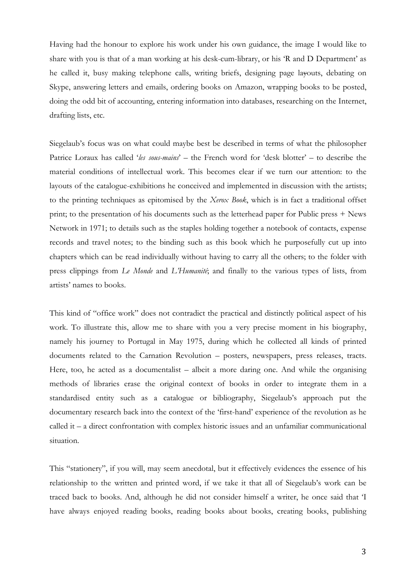Having had the honour to explore his work under his own guidance, the image I would like to share with you is that of a man working at his desk-cum-library, or his 'R and D Department' as he called it, busy making telephone calls, writing briefs, designing page layouts, debating on Skype, answering letters and emails, ordering books on Amazon, wrapping books to be posted, doing the odd bit of accounting, entering information into databases, researching on the Internet, drafting lists, etc.

Siegelaub's focus was on what could maybe best be described in terms of what the philosopher Patrice Loraux has called '*les sous-mains*' – the French word for 'desk blotter' – to describe the material conditions of intellectual work. This becomes clear if we turn our attention: to the layouts of the catalogue-exhibitions he conceived and implemented in discussion with the artists; to the printing techniques as epitomised by the *Xerox Book*, which is in fact a traditional offset print; to the presentation of his documents such as the letterhead paper for Public press + News Network in 1971; to details such as the staples holding together a notebook of contacts, expense records and travel notes; to the binding such as this book which he purposefully cut up into chapters which can be read individually without having to carry all the others; to the folder with press clippings from *Le Monde* and *L'Humanité*; and finally to the various types of lists, from artists' names to books.

This kind of "office work" does not contradict the practical and distinctly political aspect of his work. To illustrate this, allow me to share with you a very precise moment in his biography, namely his journey to Portugal in May 1975, during which he collected all kinds of printed documents related to the Carnation Revolution – posters, newspapers, press releases, tracts. Here, too, he acted as a documentalist – albeit a more daring one. And while the organising methods of libraries erase the original context of books in order to integrate them in a standardised entity such as a catalogue or bibliography, Siegelaub's approach put the documentary research back into the context of the 'first-hand' experience of the revolution as he called it – a direct confrontation with complex historic issues and an unfamiliar communicational situation.

This "stationery", if you will, may seem anecdotal, but it effectively evidences the essence of his relationship to the written and printed word, if we take it that all of Siegelaub's work can be traced back to books. And, although he did not consider himself a writer, he once said that 'I have always enjoyed reading books, reading books about books, creating books, publishing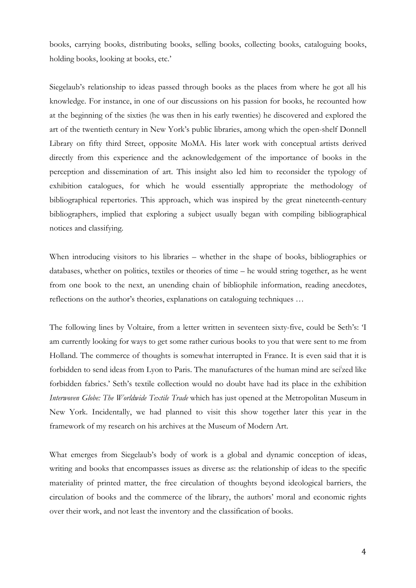books, carrying books, distributing books, selling books, collecting books, cataloguing books, holding books, looking at books, etc.'

Siegelaub's relationship to ideas passed through books as the places from where he got all his knowledge. For instance, in one of our discussions on his passion for books, he recounted how at the beginning of the sixties (he was then in his early twenties) he discovered and explored the art of the twentieth century in New York's public libraries, among which the open-shelf Donnell Library on fifty third Street, opposite MoMA. His later work with conceptual artists derived directly from this experience and the acknowledgement of the importance of books in the perception and dissemination of art. This insight also led him to reconsider the typology of exhibition catalogues, for which he would essentially appropriate the methodology of bibliographical repertories. This approach, which was inspired by the great nineteenth-century bibliographers, implied that exploring a subject usually began with compiling bibliographical notices and classifying.

When introducing visitors to his libraries – whether in the shape of books, bibliographies or databases, whether on politics, textiles or theories of time – he would string together, as he went from one book to the next, an unending chain of bibliophile information, reading anecdotes, reflections on the author's theories, explanations on cataloguing techniques …

The following lines by Voltaire, from a letter written in seventeen sixty-five, could be Seth's: 'I am currently looking for ways to get some rather curious books to you that were sent to me from Holland. The commerce of thoughts is somewhat interrupted in France. It is even said that it is forbidden to send ideas from Lyon to Paris. The manufactures of the human mind are seized like forbidden fabrics.' Seth's textile collection would no doubt have had its place in the exhibition *Interwoven Globe: The Worldwide Textile Trade* which has just opened at the Metropolitan Museum in New York. Incidentally, we had planned to visit this show together later this year in the framework of my research on his archives at the Museum of Modern Art.

What emerges from Siegelaub's body of work is a global and dynamic conception of ideas, writing and books that encompasses issues as diverse as: the relationship of ideas to the specific materiality of printed matter, the free circulation of thoughts beyond ideological barriers, the circulation of books and the commerce of the library, the authors' moral and economic rights over their work, and not least the inventory and the classification of books.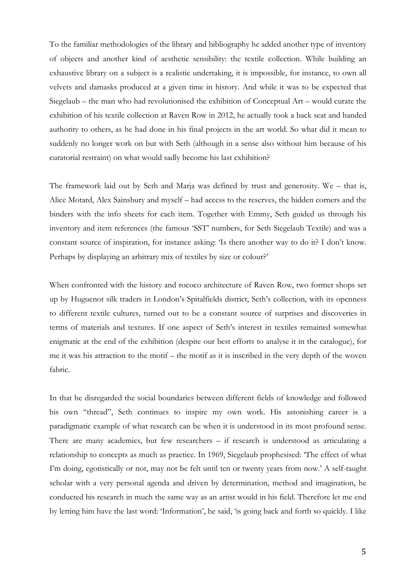To the familiar methodologies of the library and bibliography he added another type of inventory of objects and another kind of aesthetic sensibility: the textile collection. While building an exhaustive library on a subject is a realistic undertaking, it is impossible, for instance, to own all velvets and damasks produced at a given time in history. And while it was to be expected that Siegelaub – the man who had revolutionised the exhibition of Conceptual Art – would curate the exhibition of his textile collection at Raven Row in 2012, he actually took a back seat and handed authority to others, as he had done in his final projects in the art world. So what did it mean to suddenly no longer work on but with Seth (although in a sense also without him because of his curatorial restraint) on what would sadly become his last exhibition?

The framework laid out by Seth and Marja was defined by trust and generosity. We – that is, Alice Motard, Alex Sainsbury and myself – had access to the reserves, the hidden corners and the binders with the info sheets for each item. Together with Emmy, Seth guided us through his inventory and item references (the famous 'SST' numbers, for Seth Siegelaub Textile) and was a constant source of inspiration, for instance asking: 'Is there another way to do it? I don't know. Perhaps by displaying an arbitrary mix of textiles by size or colour?'

When confronted with the history and rococo architecture of Raven Row, two former shops set up by Huguenot silk traders in London's Spitalfields district, Seth's collection, with its openness to different textile cultures, turned out to be a constant source of surprises and discoveries in terms of materials and textures. If one aspect of Seth's interest in textiles remained somewhat enigmatic at the end of the exhibition (despite our best efforts to analyse it in the catalogue), for me it was his attraction to the motif – the motif as it is inscribed in the very depth of the woven fabric.

In that he disregarded the social boundaries between different fields of knowledge and followed his own "thread", Seth continues to inspire my own work. His astonishing career is a paradigmatic example of what research can be when it is understood in its most profound sense. There are many academics, but few researchers – if research is understood as articulating a relationship to concepts as much as practice. In 1969, Siegelaub prophesised: 'The effect of what I'm doing, egotistically or not, may not be felt until ten or twenty years from now.' A self-taught scholar with a very personal agenda and driven by determination, method and imagination, he conducted his research in much the same way as an artist would in his field. Therefore let me end by letting him have the last word: 'Information', he said, 'is going back and forth so quickly. I like